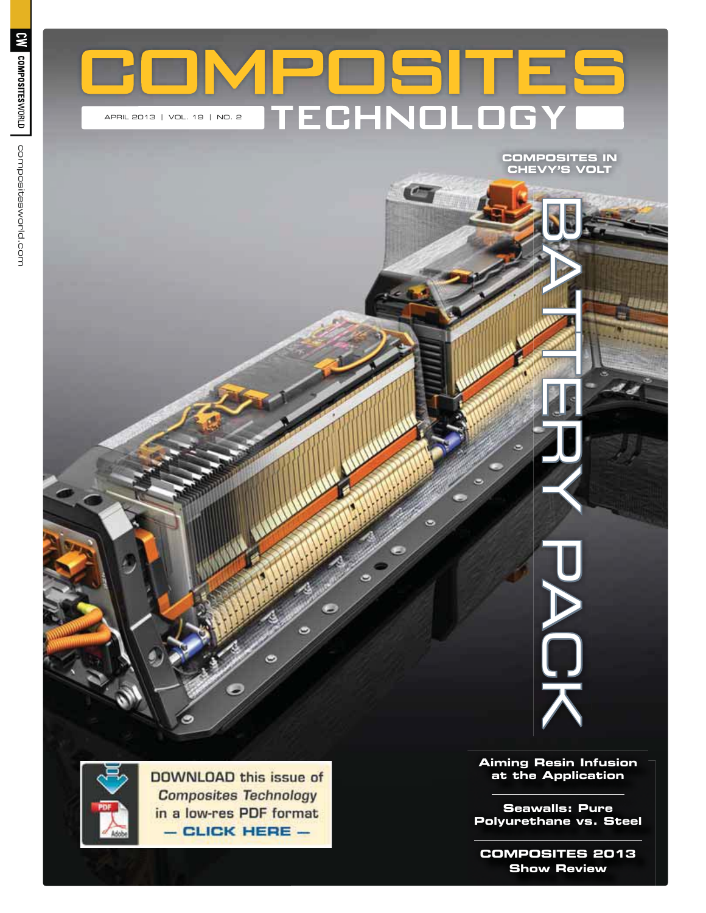

**CHEVY'S VOLT** 



**DOWNLOAD this issue of Composites Technology** in a low-res PDF format  $-$  CLICK HERE  $-$ 

 $\bullet$ 

 $\bullet$ 

**Aiming Resin Infusion** 

**at the Application** 

BATTERY PACK

workhane ve St **Polyurethane vs. Steel**

**Chaus Doview**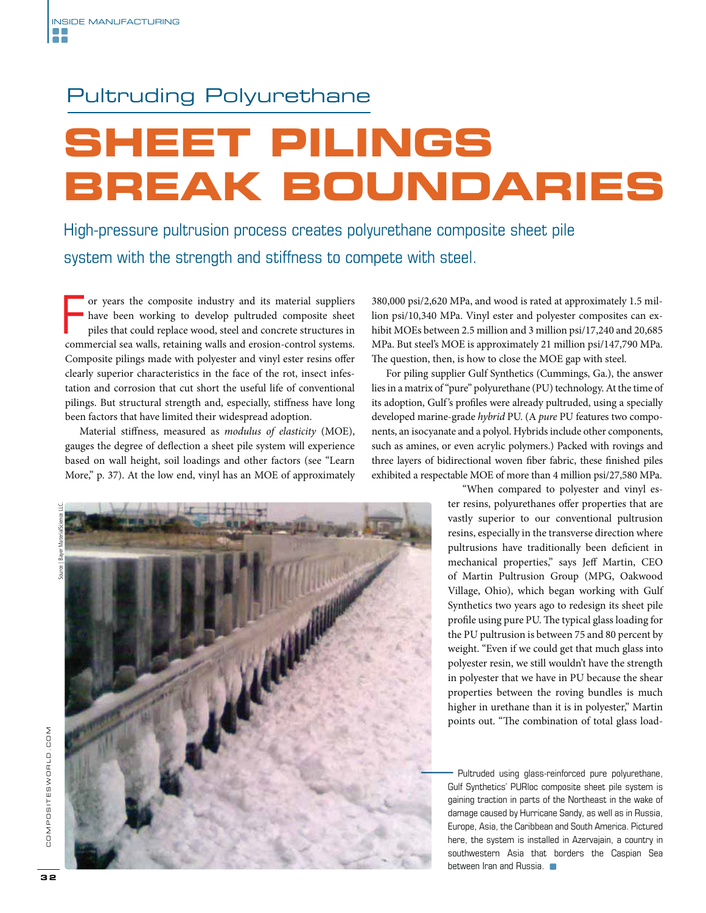## Pultruding Polyurethane

# **SHEET PILINGS<br>BREAK BOUNDARIES**

High-pressure pultrusion process creates polyurethane composite sheet pile system with the strength and stiffness to compete with steel.

or years the composite industry and its material suppliers have been working to develop pultruded composite sheet piles that could replace wood, steel and concrete structures in commercial sea walls, retaining walls and er or years the composite industry and its material suppliers have been working to develop pultruded composite sheet piles that could replace wood, steel and concrete structures in Composite pilings made with polyester and vinyl ester resins offer clearly superior characteristics in the face of the rot, insect infestation and corrosion that cut short the useful life of conventional pilings. But structural strength and, especially, stiffness have long been factors that have limited their widespread adoption.

Material stiffness, measured as *modulus of elasticity* (MOE), gauges the degree of deflection a sheet pile system will experience based on wall height, soil loadings and other factors (see "Learn More," p. 37). At the low end, vinyl has an MOE of approximately

Source | Bayer MaterialScience LLC.



380,000 psi/2,620 MPa, and wood is rated at approximately 1.5 million psi/10,340 MPa. Vinyl ester and polyester composites can exhibit MOEs between 2.5 million and 3 million psi/17,240 and 20,685 MPa. But steel's MOE is approximately 21 million psi/147,790 MPa. The question, then, is how to close the MOE gap with steel.

For piling supplier Gulf Synthetics (Cummings, Ga.), the answer lies in a matrix of "pure" polyurethane (PU) technology. At the time of its adoption, Gulf's profiles were already pultruded, using a specially developed marine-grade *hybrid* PU. (A *pure* PU features two components, an isocyanate and a polyol. Hybrids include other components, such as amines, or even acrylic polymers.) Packed with rovings and three layers of bidirectional woven fiber fabric, these finished piles exhibited a respectable MOE of more than 4 million psi/27,580 MPa.

> "When compared to polyester and vinyl ester resins, polyurethanes offer properties that are vastly superior to our conventional pultrusion resins, especially in the transverse direction where pultrusions have traditionally been deficient in mechanical properties," says Jeff Martin, CEO of Martin Pultrusion Group (MPG, Oakwood Village, Ohio), which began working with Gulf Synthetics two years ago to redesign its sheet pile profile using pure PU. The typical glass loading for the PU pultrusion is between 75 and 80 percent by weight. "Even if we could get that much glass into polyester resin, we still wouldn't have the strength in polyester that we have in PU because the shear properties between the roving bundles is much higher in urethane than it is in polyester," Martin points out. "The combination of total glass load-

> Pultruded using glass-reinforced pure polyurethane, Gulf Synthetics' PURloc composite sheet pile system is gaining traction in parts of the Northeast in the wake of damage caused by Hurricane Sandy, as well as in Russia, Europe, Asia, the Caribbean and South America. Pictured here, the system is installed in Azervajain, a country in southwestern Asia that borders the Caspian Sea between Iran and Russia.  $\blacksquare$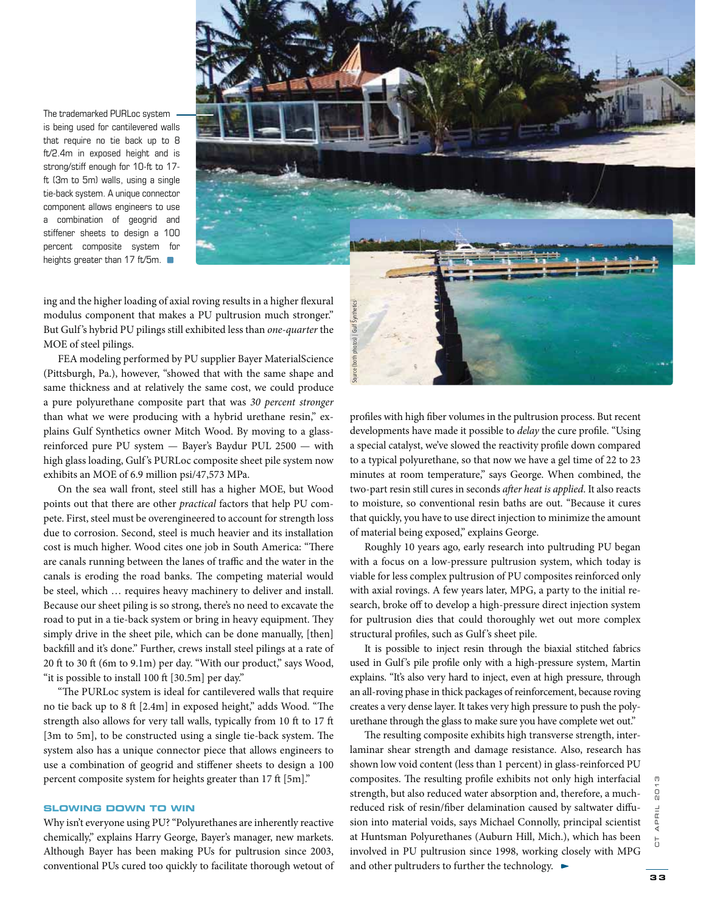The trademarked PURLoc system is being used for cantilevered walls that require no tie back up to 8 ft/2.4m in exposed height and is strong/stiff enough for 10-ft to 17 ft (3m to 5m) walls, using a single tie-back system. A unique connector component allows engineers to use a combination of geogrid and stiffener sheets to design a 100 percent composite system for heights greater than 17 ft/5m.



ing and the higher loading of axial roving results in a higher flexural modulus component that makes a PU pultrusion much stronger." But Gulf 's hybrid PU pilings still exhibited less than *one-quarter* the MOE of steel pilings.

FEA modeling performed by PU supplier Bayer MaterialScience (Pittsburgh, Pa.), however, "showed that with the same shape and same thickness and at relatively the same cost, we could produce a pure polyurethane composite part that was *30 percent stronger* than what we were producing with a hybrid urethane resin," explains Gulf Synthetics owner Mitch Wood. By moving to a glassreinforced pure PU system — Bayer's Baydur PUL 2500 — with high glass loading, Gulf's PURLoc composite sheet pile system now exhibits an MOE of 6.9 million psi/47,573 MPa.

On the sea wall front, steel still has a higher MOE, but Wood points out that there are other *practical* factors that help PU compete. First, steel must be overengineered to account for strength loss due to corrosion. Second, steel is much heavier and its installation cost is much higher. Wood cites one job in South America: "There are canals running between the lanes of traffic and the water in the canals is eroding the road banks. The competing material would be steel, which … requires heavy machinery to deliver and install. Because our sheet piling is so strong, there's no need to excavate the road to put in a tie-back system or bring in heavy equipment. They simply drive in the sheet pile, which can be done manually, [then] backfill and it's done." Further, crews install steel pilings at a rate of 20 ft to 30 ft (6m to 9.1m) per day. "With our product," says Wood, "it is possible to install 100 ft [30.5m] per day."

"The PURLoc system is ideal for cantilevered walls that require no tie back up to 8 ft [2.4m] in exposed height," adds Wood. "The strength also allows for very tall walls, typically from 10 ft to 17 ft [3m to 5m], to be constructed using a single tie-back system. The system also has a unique connector piece that allows engineers to use a combination of geogrid and stiffener sheets to design a 100 percent composite system for heights greater than 17 ft [5m]."

#### **SLOWING DOWN TO WIN**

**SLOWING DOWN TO WIN** Why isn't everyone using PU? "Polyurethanes are inherently reactive chemically," explains Harry George, Bayer's manager, new markets. Although Bayer has been making PUs for pultrusion since 2003, conventional PUs cured too quickly to facilitate thorough wetout of

profiles with high fiber volumes in the pultrusion process. But recent developments have made it possible to *delay* the cure profile. "Using a special catalyst, we've slowed the reactivity profile down compared to a typical polyurethane, so that now we have a gel time of 22 to 23 minutes at room temperature," says George. When combined, the two-part resin still cures in seconds after heat is applied. It also reacts to moisture, so conventional resin baths are out. "Because it cures that quickly, you have to use direct injection to minimize the amount of material being exposed," explains George.

Roughly 10 years ago, early research into pultruding PU began with a focus on a low-pressure pultrusion system, which today is viable for less complex pultrusion of PU composites reinforced only with axial rovings. A few years later, MPG, a party to the initial research, broke off to develop a high-pressure direct injection system for pultrusion dies that could thoroughly wet out more complex structural profiles, such as Gulf's sheet pile.

It is possible to inject resin through the biaxial stitched fabrics used in Gulf's pile profile only with a high-pressure system, Martin explains. "It's also very hard to inject, even at high pressure, through an all-roving phase in thick packages of reinforcement, because roving creates a very dense layer. It takes very high pressure to push the polyurethane through the glass to make sure you have complete wet out."

The resulting composite exhibits high transverse strength, interlaminar shear strength and damage resistance. Also, research has shown low void content (less than 1 percent) in glass-reinforced PU composites. The resulting profile exhibits not only high interfacial strength, but also reduced water absorption and, therefore, a muchreduced risk of resin/fiber delamination caused by saltwater diffusion into material voids, says Michael Connolly, principal scientist at Huntsman Polyurethanes (Auburn Hill, Mich.), which has been involved in PU pultrusion since 1998, working closely with MPG and other the technology. The state of the technology, and the pultrusia developments have made it possible to *delay* the a special catalyst, we've slowed the reactivity proves to the technology. The technology is the tec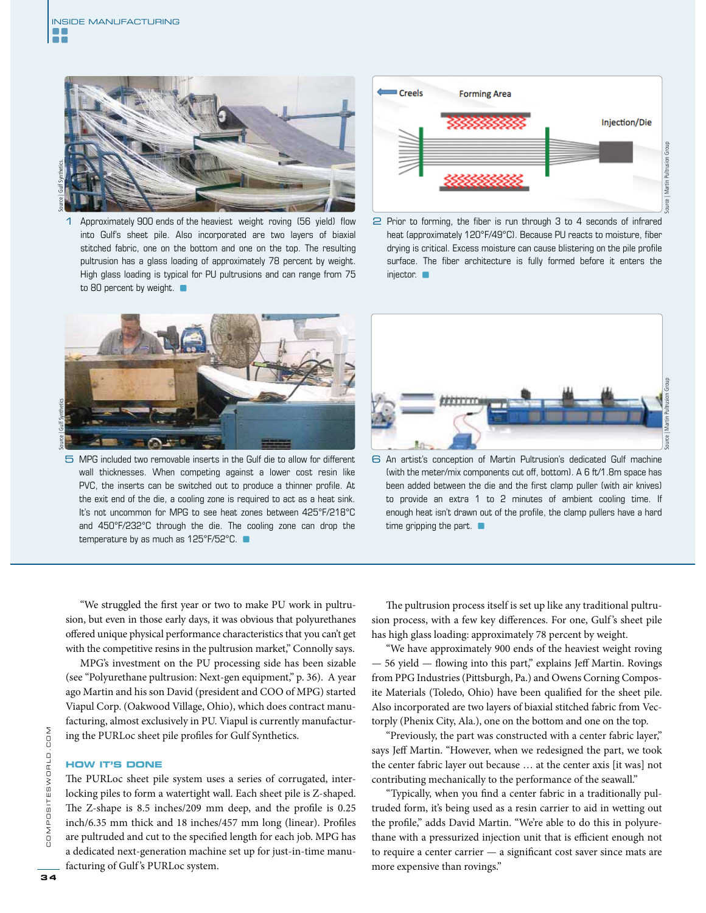Ħ



Approximately 900 ends of the heaviest weight roving (56 yield) flow into Gulf's sheet pile. Also incorporated are two layers of biaxial stitched fabric, one on the bottom and one on the top. The resulting pultrusion has a glass loading of approximately 78 percent by weight. High glass loading is typical for PU pultrusions and can range from 75 to 80 percent by weight.



5 MPG included two removable inserts in the Gulf die to allow for different wall thicknesses. When competing against a lower cost resin like PVC, the inserts can be switched out to produce a thinner profile. At the exit end of the die, a cooling zone is required to act as a heat sink. It's not uncommon for MPG to see heat zones between 425°F/218°C and 450°F/232°C through the die. The cooling zone can drop the temperature by as much as 125°F/52°C. ■



 $\supseteq$  Prior to forming, the fiber is run through 3 to 4 seconds of infrared heat (approximately 120°F/49°C). Because PU reacts to moisture, fiber drying is critical. Excess moisture can cause blistering on the pile profile surface. The fiber architecture is fully formed before it enters the injector.



6 An artist's conception of Martin Pultrusion's dedicated Gulf machine (with the meter/mix components cut off, bottom). A 6 ft/1.8m space has been added between the die and the first clamp puller (with air knives) to provide an extra 1 to 2 minutes of ambient cooling time. If enough heat isn't drawn out of the profile, the clamp pullers have a hard time gripping the part.

NO<sub>0</sub>

COMPOSITESWORLD.

"We struggled the first year or two to make PU work in pultrusion, but even in those early days, it was obvious that polyurethanes offered unique physical performance characteristics that you can't get with the competitive resins in the pultrusion market," Connolly says.

MPG's investment on the PU processing side has been sizable (see "Polyurethane pultrusion: Next-gen equipment," p. 36). A year ago Martin and his son David (president and COO of MPG) started Viapul Corp. (Oakwood Village, Ohio), which does contract manufacturing, almost exclusively in PU. Viapul is currently manufacturing the PURLoc sheet pile profiles for Gulf Synthetics.

#### **HOW IT'S DONE**

The PURLoc sheet pile system uses a series of corrugated, interlocking piles to form a watertight wall. Each sheet pile is Z-shaped. The Z-shape is  $8.5$  inches/209 mm deep, and the profile is  $0.25$ inch/6.35 mm thick and 18 inches/457 mm long (linear). Profiles are pultruded and cut to the specified length for each job. MPG has a dedicated next-generation machine set up for just-in-time manufacturing of Gulf's PURLoc system.

The pultrusion process itself is set up like any traditional pultrusion process, with a few key differences. For one, Gulf's sheet pile has high glass loading: approximately 78 percent by weight.

"We have approximately 900 ends of the heaviest weight roving  $-56$  yield  $-$  flowing into this part," explains Jeff Martin. Rovings from PPG Industries (Pittsburgh, Pa.) and Owens Corning Composite Materials (Toledo, Ohio) have been qualified for the sheet pile. Also incorporated are two layers of biaxial stitched fabric from Vectorply (Phenix City, Ala.), one on the bottom and one on the top.

"Previously, the part was constructed with a center fabric layer," says Jeff Martin. "However, when we redesigned the part, we took the center fabric layer out because … at the center axis [it was] not contributing mechanically to the performance of the seawall."

"Typically, when you find a center fabric in a traditionally pultruded form, it's being used as a resin carrier to aid in wetting out the profile," adds David Martin. "We're able to do this in polyurethane with a pressurized injection unit that is efficient enough not to require a center carrier — a significant cost saver since mats are more expensive than rovings."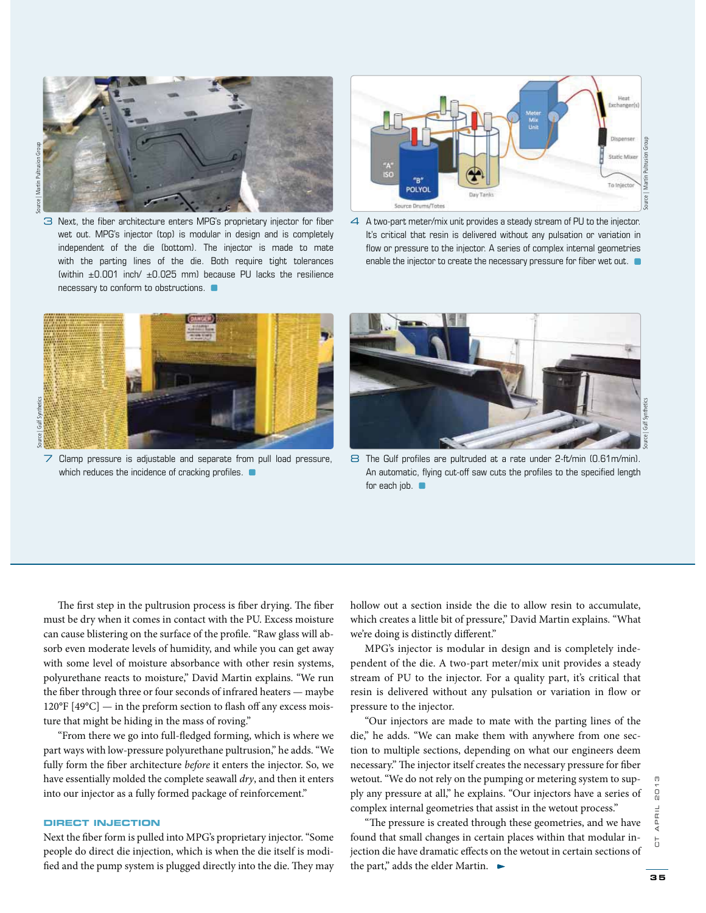

3 Next, the fiber architecture enters MPG's proprietary injector for fiber wet out. MPG's injector (top) is modular in design and is completely independent of the die (bottom). The injector is made to mate with the parting lines of the die. Both require tight tolerances (within  $\pm 0.001$  inch/  $\pm 0.025$  mm) because PU lacks the resilience necessary to conform to obstructions.



4 A two-part meter/mix unit provides a steady stream of PU to the injector. It's critical that resin is delivered without any pulsation or variation in flow or pressure to the injector. A series of complex internal geometries enable the injector to create the necessary pressure for fiber wet out.  $\blacksquare$ 



 $\overline{7}$  Clamp pressure is adjustable and separate from pull load pressure, which reduces the incidence of cracking profiles.  $\blacksquare$ 



8 The Gulf profiles are pultruded at a rate under 2-ft/min (0.61m/min). An automatic, flying cut-off saw cuts the profiles to the specified length for each job.

The first step in the pultrusion process is fiber drying. The fiber must be dry when it comes in contact with the PU. Excess moisture can cause blistering on the surface of the profile. "Raw glass will absorb even moderate levels of humidity, and while you can get away with some level of moisture absorbance with other resin systems, polyurethane reacts to moisture," David Martin explains. "We run the fiber through three or four seconds of infrared heaters — maybe  $120^{\circ}$ F [49 $^{\circ}$ C] — in the preform section to flash off any excess moisture that might be hiding in the mass of roving."

"From there we go into full-fledged forming, which is where we part ways with low-pressure polyurethane pultrusion," he adds. "We fully form the fiber architecture *before* it enters the injector. So, we have essentially molded the complete seawall *dry*, and then it enters into our injector as a fully formed package of reinforcement."

#### **DIRECT INJECTION**

Next the fiber form is pulled into MPG's proprietary injector. "Some people do direct die injection, which is when the die itself is modified and the pump system is plugged directly into the die. They may

hollow out a section inside the die to allow resin to accumulate, which creates a little bit of pressure," David Martin explains. "What we're doing is distinctly different."

MPG's injector is modular in design and is completely independent of the die. A two-part meter/mix unit provides a steady stream of PU to the injector. For a quality part, it's critical that resin is delivered without any pulsation or variation in flow or pressure to the injector.

"Our injectors are made to mate with the parting lines of the die," he adds. "We can make them with anywhere from one section to multiple sections, depending on what our engineers deem necessary." The injector itself creates the necessary pressure for fiber wetout. "We do not rely on the pumping or metering system to supply any pressure at all," he explains. "Our injectors have a series of complex internal geometries that assist in the wetout process."

"The pressure is created through these geometries, and we have found that small changes in certain places within that modular injection die have dramatic effects on the wetout in certain sections of the part," adds the elder Martin.  $\blacktriangleright$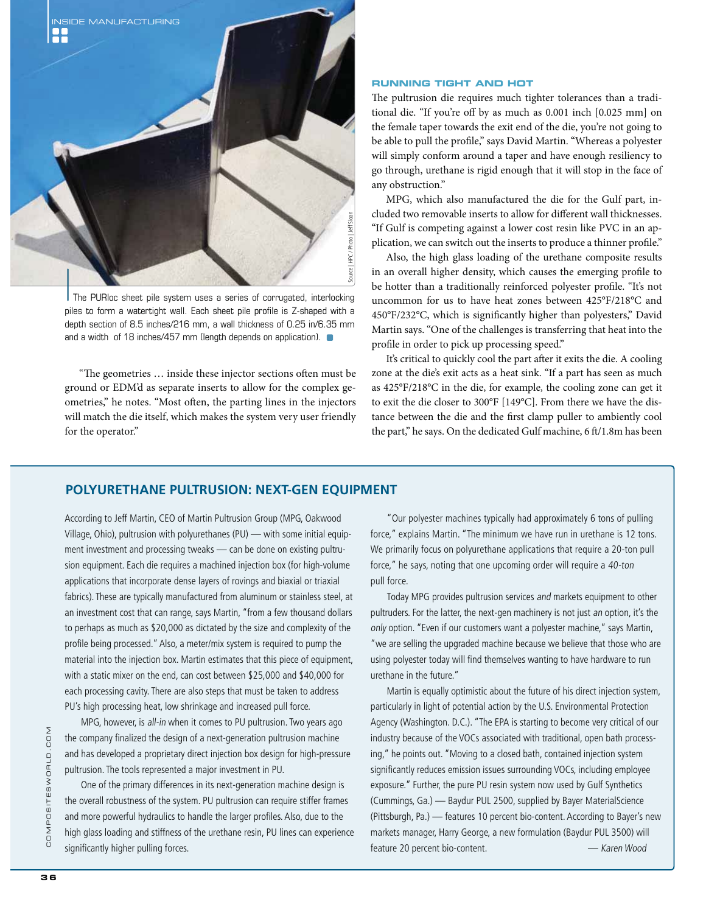

The PURIoc sheet pile system uses a series of corrugated, interlocking piles to form a watertight wall. Each sheet pile profile is Z-shaped with a depth section of 8.5 inches/216 mm, a wall thickness of 0.25 in/6.35 mm and a width of 18 inches/457 mm (length depends on application).

"The geometries ... inside these injector sections often must be ground or EDM'd as separate inserts to allow for the complex geometries," he notes. "Most often, the parting lines in the injectors will match the die itself, which makes the system very user friendly for the operator."

#### **RUNNING TIGHT AND HOT**

The pultrusion die requires much tighter tolerances than a traditional die. "If you're off by as much as 0.001 inch [0.025 mm] on the female taper towards the exit end of the die, you're not going to be able to pull the profile," says David Martin. "Whereas a polyester will simply conform around a taper and have enough resiliency to go through, urethane is rigid enough that it will stop in the face of any obstruction."

MPG, which also manufactured the die for the Gulf part, included two removable inserts to allow for different wall thicknesses. "If Gulf is competing against a lower cost resin like PVC in an application, we can switch out the inserts to produce a thinner profile."

Also, the high glass loading of the urethane composite results in an overall higher density, which causes the emerging profile to be hotter than a traditionally reinforced polyester profile. "It's not uncommon for us to have heat zones between 425°F/218°C and 450°F/232°C, which is significantly higher than polyesters," David Martin says. "One of the challenges is transferring that heat into the profile in order to pick up processing speed."

It's critical to quickly cool the part after it exits the die. A cooling zone at the die's exit acts as a heat sink. "If a part has seen as much as 425°F/218°C in the die, for example, the cooling zone can get it to exit the die closer to 300°F [149°C]. From there we have the distance between the die and the first clamp puller to ambiently cool the part," he says. On the dedicated Gulf machine, 6 ft/1.8m has been

### **POLYURETHANE PULTRUSION: NEXT-GEN EQUIPMENT**

According to Jeff Martin, CEO of Martin Pultrusion Group (MPG, Oakwood Village, Ohio), pultrusion with polyurethanes (PU) — with some initial equipment investment and processing tweaks — can be done on existing pultrusion equipment. Each die requires a machined injection box (for high-volume applications that incorporate dense layers of rovings and biaxial or triaxial fabrics). These are typically manufactured from aluminum or stainless steel, at an investment cost that can range, says Martin, "from a few thousand dollars to perhaps as much as \$20,000 as dictated by the size and complexity of the profile being processed." Also, a meter/mix system is required to pump the material into the injection box. Martin estimates that this piece of equipment, with a static mixer on the end, can cost between \$25,000 and \$40,000 for each processing cavity. There are also steps that must be taken to address PU's high processing heat, low shrinkage and increased pull force.

MPG, however, is all-in when it comes to PU pultrusion. Two years ago the company finalized the design of a next-generation pultrusion machine and has developed a proprietary direct injection box design for high-pressure pultrusion. The tools represented a major investment in PU.

One of the primary differences in its next-generation machine design is the overall robustness of the system. PU pultrusion can require stiffer frames and more powerful hydraulics to handle the larger profiles. Also, due to the high glass loading and stiffness of the urethane resin, PU lines can experience significantly higher pulling forces.

"Our polyester machines typically had approximately 6 tons of pulling force," explains Martin. "The minimum we have run in urethane is 12 tons. We primarily focus on polyurethane applications that require a 20-ton pull force," he says, noting that one upcoming order will require a 40-ton pull force.

Today MPG provides pultrusion services and markets equipment to other pultruders. For the latter, the next-gen machinery is not just an option, it's the only option. "Even if our customers want a polyester machine," says Martin, "we are selling the upgraded machine because we believe that those who are using polyester today will find themselves wanting to have hardware to run urethane in the future."

Martin is equally optimistic about the future of his direct injection system, particularly in light of potential action by the U.S. Environmental Protection Agency (Washington. D.C.). "The EPA is starting to become very critical of our industry because of the VOCs associated with traditional, open bath processing," he points out. "Moving to a closed bath, contained injection system significantly reduces emission issues surrounding VOCs, including employee exposure." Further, the pure PU resin system now used by Gulf Synthetics (Cummings, Ga.) — Baydur PUL 2500, supplied by Bayer MaterialScience (Pittsburgh, Pa.) — features 10 percent bio-content. According to Bayer's new markets manager, Harry George, a new formulation (Baydur PUL 3500) will feature 20 percent bio-content. — Karen Wood